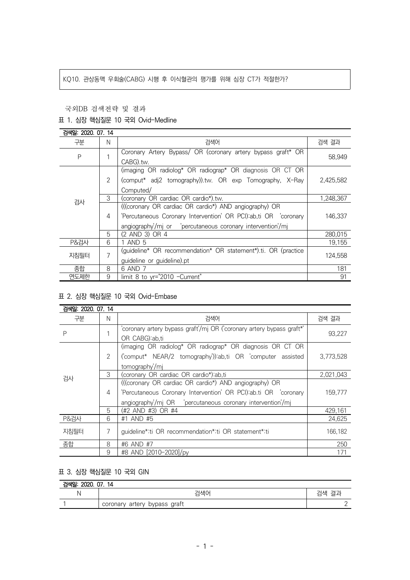## KQ10. 관상동맥 우회술(CABG) 시행 후 이식혈관의 평가를 위해 심장 CT가 적절한가?

#### 국외DB 검색전략 및 결과

### 표 1. 심장 핵심질문 10 국외 Ovid-Medline

| 검색일: 2020, 07, 14 |                |                                                                |           |  |
|-------------------|----------------|----------------------------------------------------------------|-----------|--|
| 구분                | N              | 검색어                                                            | 검색 결과     |  |
| P                 |                | Coronary Artery Bypass/ OR (coronary artery bypass graft* OR   | 58,949    |  |
|                   |                | CABG).tw.                                                      |           |  |
| 검사                |                | (imaging OR radiolog* OR radiograp* OR diagnosis OR CT OR      |           |  |
|                   | 2              | (comput* adj2 tomography)).tw. OR exp Tomography, X-Ray        | 2,425,582 |  |
|                   |                | Computed/                                                      |           |  |
|                   | 3              | (coronary OR cardiac OR cardio*).tw.                           | 1,248,367 |  |
|                   |                | (((coronary OR cardiac OR cardio*) AND angiography) OR         |           |  |
|                   | 4              | 'Percutaneous Coronary Intervention' OR PCI):ab,ti OR coronary | 146.337   |  |
|                   |                |                                                                |           |  |
|                   | 5              | (2 AND 3) OR 4                                                 | 280,015   |  |
| <b>P&amp;검사</b>   | 6              | 1 AND 5                                                        | 19,155    |  |
| 지침필터              | $\overline{7}$ | (quideline* OR recommendation* OR statement*).ti. OR (practice | 124,558   |  |
|                   |                | guideline or guideline).pt                                     |           |  |
| 종합                | 8              | 6 AND 7                                                        | 181       |  |
| 연도제한              | 9              | limit 8 to yr="2010 -Current"                                  | 91        |  |

# 표 2. 심장 핵심질문 10 국외 Ovid-Embase

| 검색일: 2020, 07, 14 |   |                                                                             |           |
|-------------------|---|-----------------------------------------------------------------------------|-----------|
| 구분                | N | 검색어                                                                         | 검색 결과     |
| P                 | 1 | 'coronary artery bypass graft'/mj OR ('coronary artery bypass graft*'       | 93,227    |
|                   |   | OR CABG):ab,ti<br>(imaging OR radiolog* OR radiograp* OR diagnosis OR CT OR |           |
| 검사                | 2 |                                                                             |           |
|                   |   | ('comput* NEAR/2 tomography')) ab, ti OR 'computer assisted                 | 3.773.528 |
|                   |   | tomography/mj                                                               |           |
|                   | 3 | (coronary OR cardiac OR cardio*) ab, ti                                     | 2,021,043 |
|                   |   | (((coronary OR cardiac OR cardio*) AND angiography) OR                      |           |
|                   | 4 | 'Percutaneous Coronary Intervention' OR PCI):ab.ti OR 'coronary             | 159.777   |
|                   |   | angiography/mi OR bercutaneous coronary intervention/mi                     |           |
|                   | 5 | (#2 AND #3) OR #4                                                           | 429.161   |
| <b>P&amp;검사</b>   | 6 | #1 AND #5                                                                   | 24,625    |
| 지침필터              | 7 | guideline*:ti OR recommendation*:ti OR statement*:ti                        | 166.182   |
|                   |   |                                                                             |           |
| 종합                | 8 | #6 AND #7                                                                   | 250       |
|                   | 9 | #8 AND [2010-2020]/py                                                       | 171       |

# 표 3. 심장 핵심질문 10 국외 GIN

# 검색일: 2020. 07. 14 N 검색어 검색 결과 1 coronary artery bypass graft 2